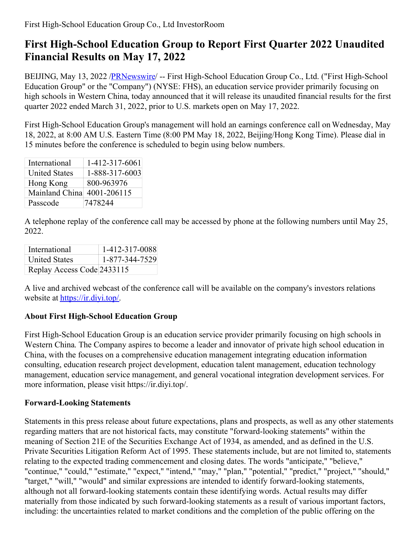## **First High-School Education Group to Report First Quarter 2022 Unaudited Financial Results on May 17, 2022**

BEIJING, May 13, 2022 [/PRNewswire](http://www.prnewswire.com/)/ -- First High-School Education Group Co., Ltd. ("First High-School Education Group" or the "Company") (NYSE: FHS), an education service provider primarily focusing on high schools in Western China, today announced that it will release its unaudited financial results for the first quarter 2022 ended March 31, 2022, prior to U.S. markets open on May 17, 2022.

First High-School Education Group's management will hold an earnings conference call on Wednesday, May 18, 2022, at 8:00 AM U.S. Eastern Time (8:00 PM May 18, 2022, Beijing/Hong Kong Time). Please dial in 15 minutes before the conference is scheduled to begin using below numbers.

| International              | 1-412-317-6061 |
|----------------------------|----------------|
| <b>United States</b>       | 1-888-317-6003 |
| Hong Kong                  | 800-963976     |
| Mainland China 4001-206115 |                |
| Passcode                   | 7478244        |

A telephone replay of the conference call may be accessed by phone at the following numbers until May 25, 2022.

| International              | 1-412-317-0088 |
|----------------------------|----------------|
| <b>United States</b>       | 1-877-344-7529 |
| Replay Access Code 2433115 |                |

A live and archived webcast of the conference call will be available on the company's investors relations website at https://ir.divi.top/.

## **About First High-School Education Group**

First High-School Education Group is an education service provider primarily focusing on high schools in Western China. The Company aspires to become a leader and innovator of private high school education in China, with the focuses on a comprehensive education management integrating education information consulting, education research project development, education talent management, education technology management, education service management, and general vocational integration development services. For more information, please visit https://ir.diyi.top/.

## **Forward-Looking Statements**

Statements in this press release about future expectations, plans and prospects, as well as any other statements regarding matters that are not historical facts, may constitute "forward-looking statements" within the meaning of Section 21E of the Securities Exchange Act of 1934, as amended, and as defined in the U.S. Private Securities Litigation Reform Act of 1995. These statements include, but are not limited to, statements relating to the expected trading commencement and closing dates. The words "anticipate," "believe," "continue," "could," "estimate," "expect," "intend," "may," "plan," "potential," "predict," "project," "should," "target," "will," "would" and similar expressions are intended to identify forward-looking statements, although not all forward-looking statements contain these identifying words. Actual results may differ materially from those indicated by such forward-looking statements as a result of various important factors, including: the uncertainties related to market conditions and the completion of the public offering on the